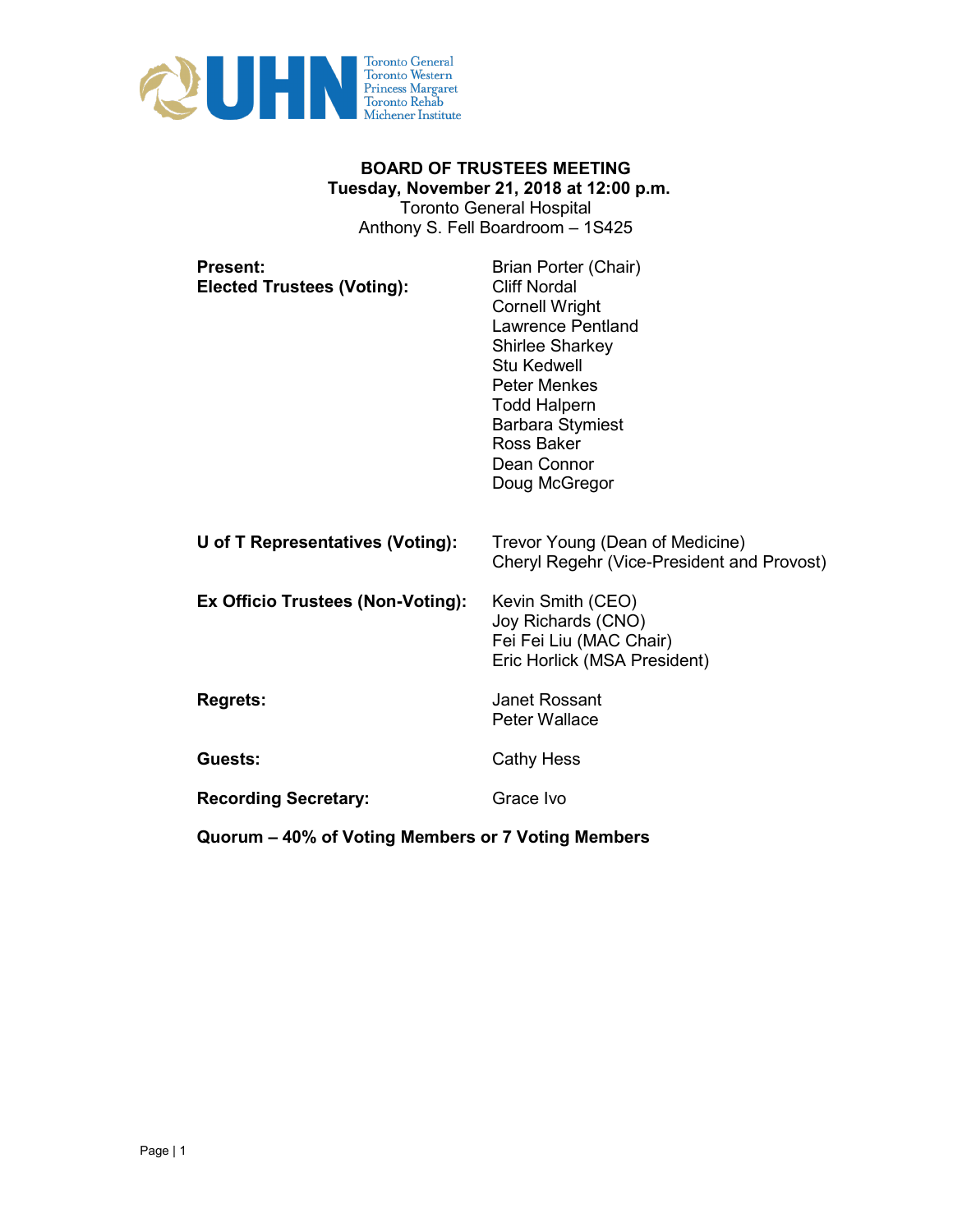

# **BOARD OF TRUSTEES MEETING Tuesday, November 21, 2018 at 12:00 p.m.**  Toronto General Hospital Anthony S. Fell Boardroom – 1S425

| <b>Present:</b><br><b>Elected Trustees (Voting):</b> | Brian Porter (Chair)<br><b>Cliff Nordal</b><br><b>Cornell Wright</b><br><b>Lawrence Pentland</b><br><b>Shirlee Sharkey</b><br><b>Stu Kedwell</b><br><b>Peter Menkes</b><br><b>Todd Halpern</b><br><b>Barbara Stymiest</b><br><b>Ross Baker</b><br>Dean Connor<br>Doug McGregor |
|------------------------------------------------------|--------------------------------------------------------------------------------------------------------------------------------------------------------------------------------------------------------------------------------------------------------------------------------|
| U of T Representatives (Voting):                     | Trevor Young (Dean of Medicine)<br>Cheryl Regehr (Vice-President and Provost)                                                                                                                                                                                                  |
| Ex Officio Trustees (Non-Voting):                    | Kevin Smith (CEO)<br>Joy Richards (CNO)<br>Fei Fei Liu (MAC Chair)<br>Eric Horlick (MSA President)                                                                                                                                                                             |
| <b>Regrets:</b>                                      | <b>Janet Rossant</b><br><b>Peter Wallace</b>                                                                                                                                                                                                                                   |
| Guests:                                              | <b>Cathy Hess</b>                                                                                                                                                                                                                                                              |
| <b>Recording Secretary:</b>                          | Grace Ivo                                                                                                                                                                                                                                                                      |
| Quorum – 40% of Voting Members or 7 Voting Members   |                                                                                                                                                                                                                                                                                |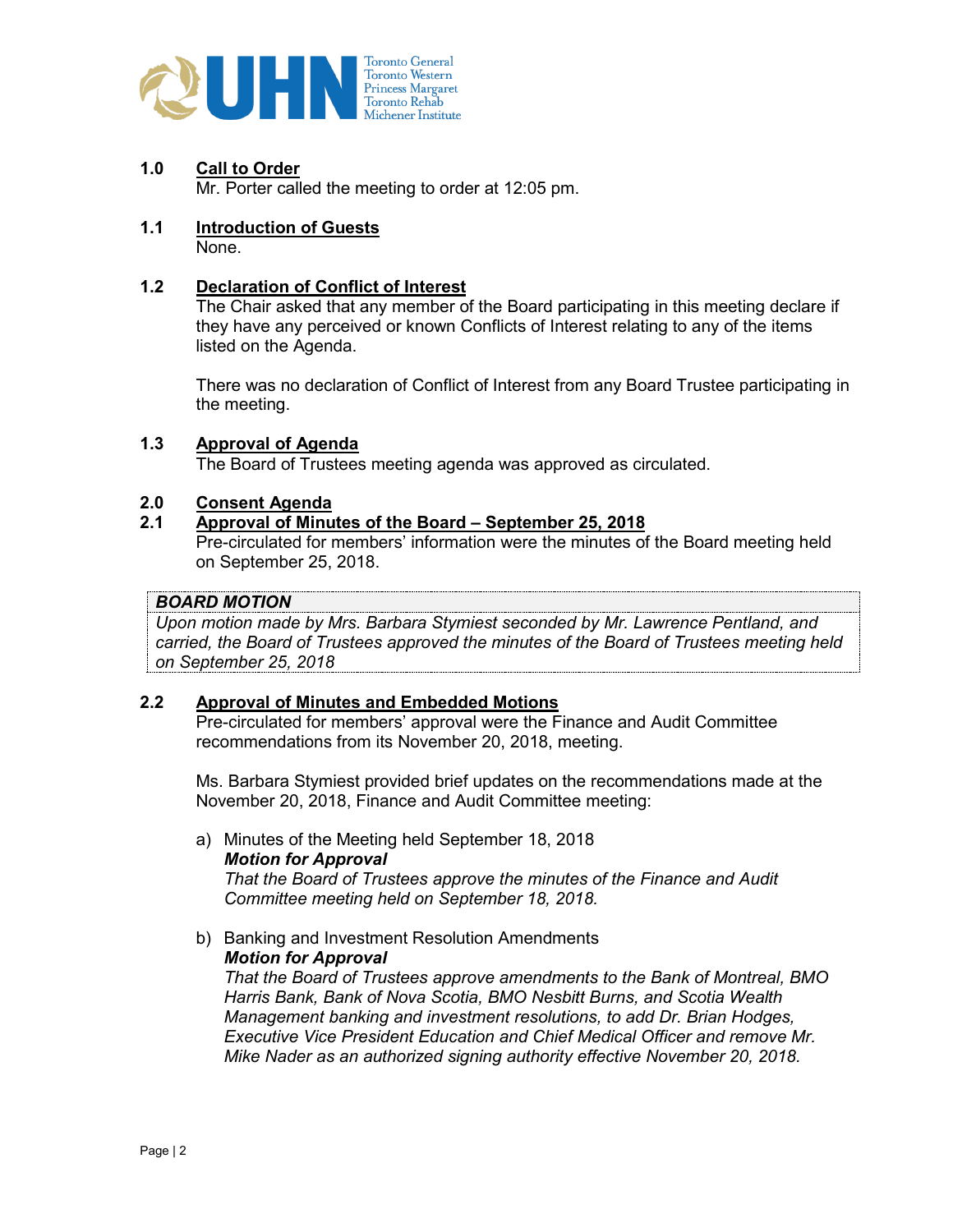

**1.0 Call to Order**

Mr. Porter called the meeting to order at 12:05 pm.

**1.1 Introduction of Guests** None.

# **1.2 Declaration of Conflict of Interest**

The Chair asked that any member of the Board participating in this meeting declare if they have any perceived or known Conflicts of Interest relating to any of the items listed on the Agenda.

There was no declaration of Conflict of Interest from any Board Trustee participating in the meeting.

#### **1.3 Approval of Agenda**

The Board of Trustees meeting agenda was approved as circulated.

# **2.0 Consent Agenda**

## **2.1 Approval of Minutes of the Board – September 25, 2018**

Pre-circulated for members' information were the minutes of the Board meeting held on September 25, 2018.

# *BOARD MOTION*

*Upon motion made by Mrs. Barbara Stymiest seconded by Mr. Lawrence Pentland, and carried, the Board of Trustees approved the minutes of the Board of Trustees meeting held on September 25, 2018*

# **2.2 Approval of Minutes and Embedded Motions**

Pre-circulated for members' approval were the Finance and Audit Committee recommendations from its November 20, 2018, meeting.

Ms. Barbara Stymiest provided brief updates on the recommendations made at the November 20, 2018, Finance and Audit Committee meeting:

- a) Minutes of the Meeting held September 18, 2018 *Motion for Approval That the Board of Trustees approve the minutes of the Finance and Audit Committee meeting held on September 18, 2018.*
- b) Banking and Investment Resolution Amendments *Motion for Approval*

*That the Board of Trustees approve amendments to the Bank of Montreal, BMO Harris Bank, Bank of Nova Scotia, BMO Nesbitt Burns, and Scotia Wealth Management banking and investment resolutions, to add Dr. Brian Hodges, Executive Vice President Education and Chief Medical Officer and remove Mr. Mike Nader as an authorized signing authority effective November 20, 2018.*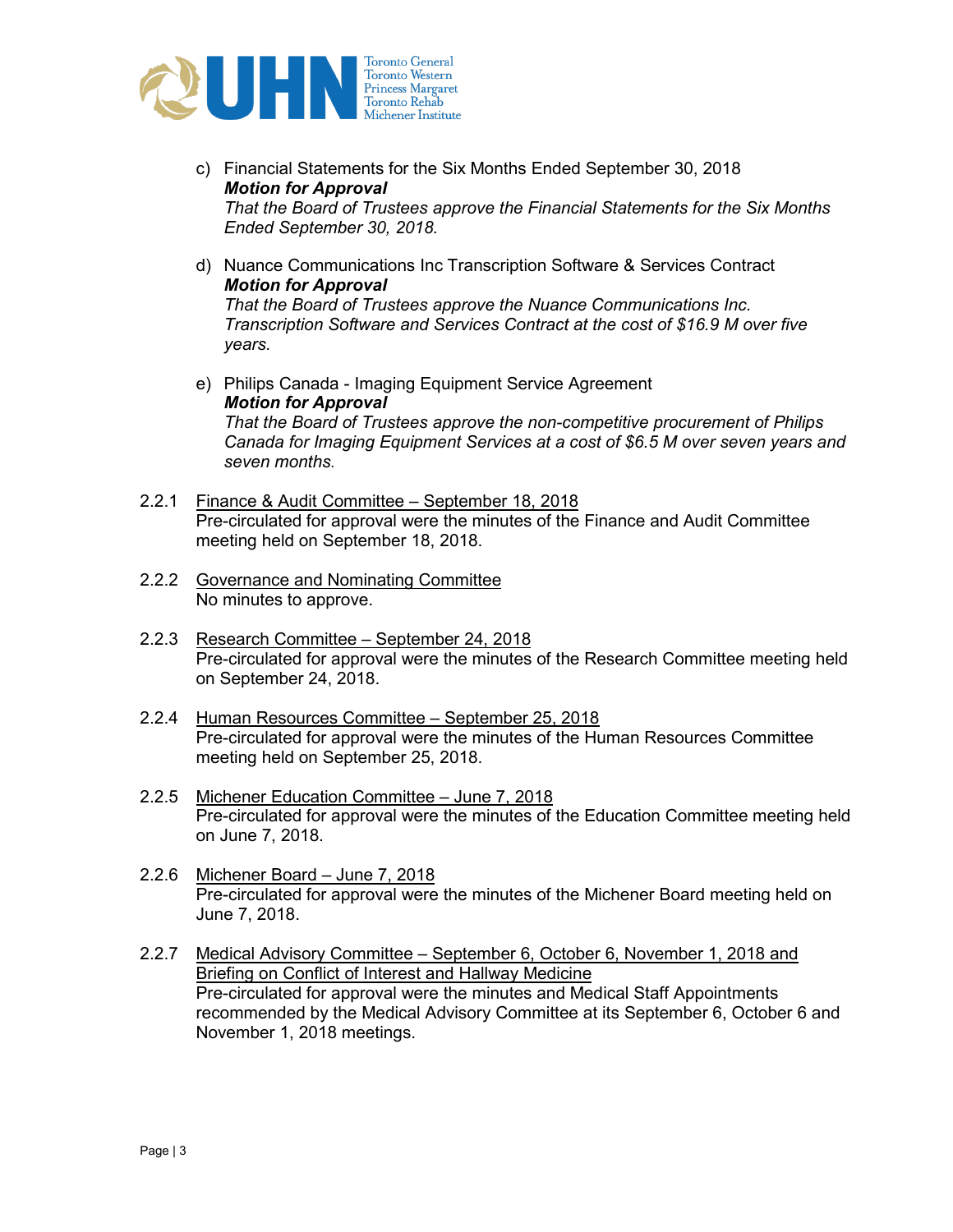

- c) Financial Statements for the Six Months Ended September 30, 2018 *Motion for Approval That the Board of Trustees approve the Financial Statements for the Six Months Ended September 30, 2018.*
- d) Nuance Communications Inc Transcription Software & Services Contract *Motion for Approval That the Board of Trustees approve the Nuance Communications Inc. Transcription Software and Services Contract at the cost of \$16.9 M over five years.*
- e) Philips Canada Imaging Equipment Service Agreement *Motion for Approval That the Board of Trustees approve the non-competitive procurement of Philips Canada for Imaging Equipment Services at a cost of \$6.5 M over seven years and seven months.*
- 2.2.1 Finance & Audit Committee September 18, 2018 Pre-circulated for approval were the minutes of the Finance and Audit Committee meeting held on September 18, 2018.
- 2.2.2 Governance and Nominating Committee No minutes to approve.
- 2.2.3 Research Committee September 24, 2018 Pre-circulated for approval were the minutes of the Research Committee meeting held on September 24, 2018.
- 2.2.4 Human Resources Committee September 25, 2018 Pre-circulated for approval were the minutes of the Human Resources Committee meeting held on September 25, 2018.
- 2.2.5 Michener Education Committee June 7, 2018 Pre-circulated for approval were the minutes of the Education Committee meeting held on June 7, 2018.
- 2.2.6 Michener Board June 7, 2018 Pre-circulated for approval were the minutes of the Michener Board meeting held on June 7, 2018.
- 2.2.7 Medical Advisory Committee September 6, October 6, November 1, 2018 and Briefing on Conflict of Interest and Hallway Medicine Pre-circulated for approval were the minutes and Medical Staff Appointments recommended by the Medical Advisory Committee at its September 6, October 6 and November 1, 2018 meetings.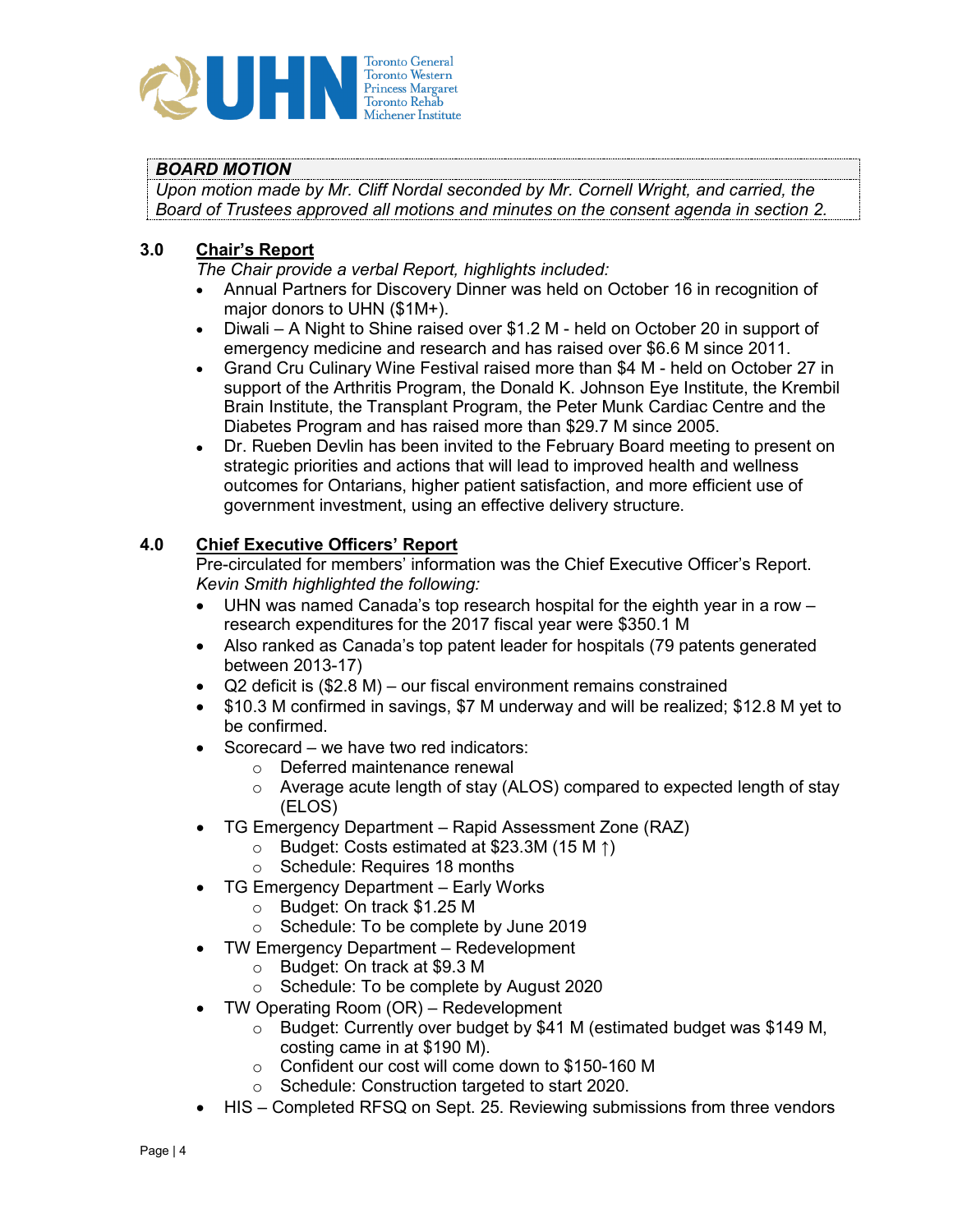

# *BOARD MOTION*

*Upon motion made by Mr. Cliff Nordal seconded by Mr. Cornell Wright, and carried, the Board of Trustees approved all motions and minutes on the consent agenda in section 2.*

# **3.0 Chair's Report**

*The Chair provide a verbal Report, highlights included:*

- Annual Partners for Discovery Dinner was held on October 16 in recognition of major donors to UHN (\$1M+).
- Diwali A Night to Shine raised over \$1.2 M held on October 20 in support of emergency medicine and research and has raised over \$6.6 M since 2011.
- Grand Cru Culinary Wine Festival raised more than \$4 M held on October 27 in support of the Arthritis Program, the Donald K. Johnson Eye Institute, the Krembil Brain Institute, the Transplant Program, the Peter Munk Cardiac Centre and the Diabetes Program and has raised more than \$29.7 M since 2005.
- Dr. Rueben Devlin has been invited to the February Board meeting to present on strategic priorities and actions that will lead to improved health and wellness outcomes for Ontarians, higher patient satisfaction, and more efficient use of government investment, using an effective delivery structure.

# **4.0 Chief Executive Officers' Report**

Pre-circulated for members' information was the Chief Executive Officer's Report. *Kevin Smith highlighted the following:* 

- UHN was named Canada's top research hospital for the eighth year in a row research expenditures for the 2017 fiscal year were \$350.1 M
- Also ranked as Canada's top patent leader for hospitals (79 patents generated between 2013-17)
- Q2 deficit is (\$2.8 M) our fiscal environment remains constrained
- \$10.3 M confirmed in savings, \$7 M underway and will be realized; \$12.8 M yet to be confirmed.
- Scorecard we have two red indicators:
	- o Deferred maintenance renewal
	- o Average acute length of stay (ALOS) compared to expected length of stay (ELOS)
- TG Emergency Department Rapid Assessment Zone (RAZ)
	- o Budget: Costs estimated at \$23.3M (15 M ↑)
		- o Schedule: Requires 18 months
- TG Emergency Department Early Works
	- o Budget: On track \$1.25 M
	- o Schedule: To be complete by June 2019
- TW Emergency Department Redevelopment
	- o Budget: On track at \$9.3 M
	- o Schedule: To be complete by August 2020
- TW Operating Room (OR) Redevelopment
	- o Budget: Currently over budget by \$41 M (estimated budget was \$149 M, costing came in at \$190 M).
	- o Confident our cost will come down to \$150-160 M
	- o Schedule: Construction targeted to start 2020.
- HIS Completed RFSQ on Sept. 25. Reviewing submissions from three vendors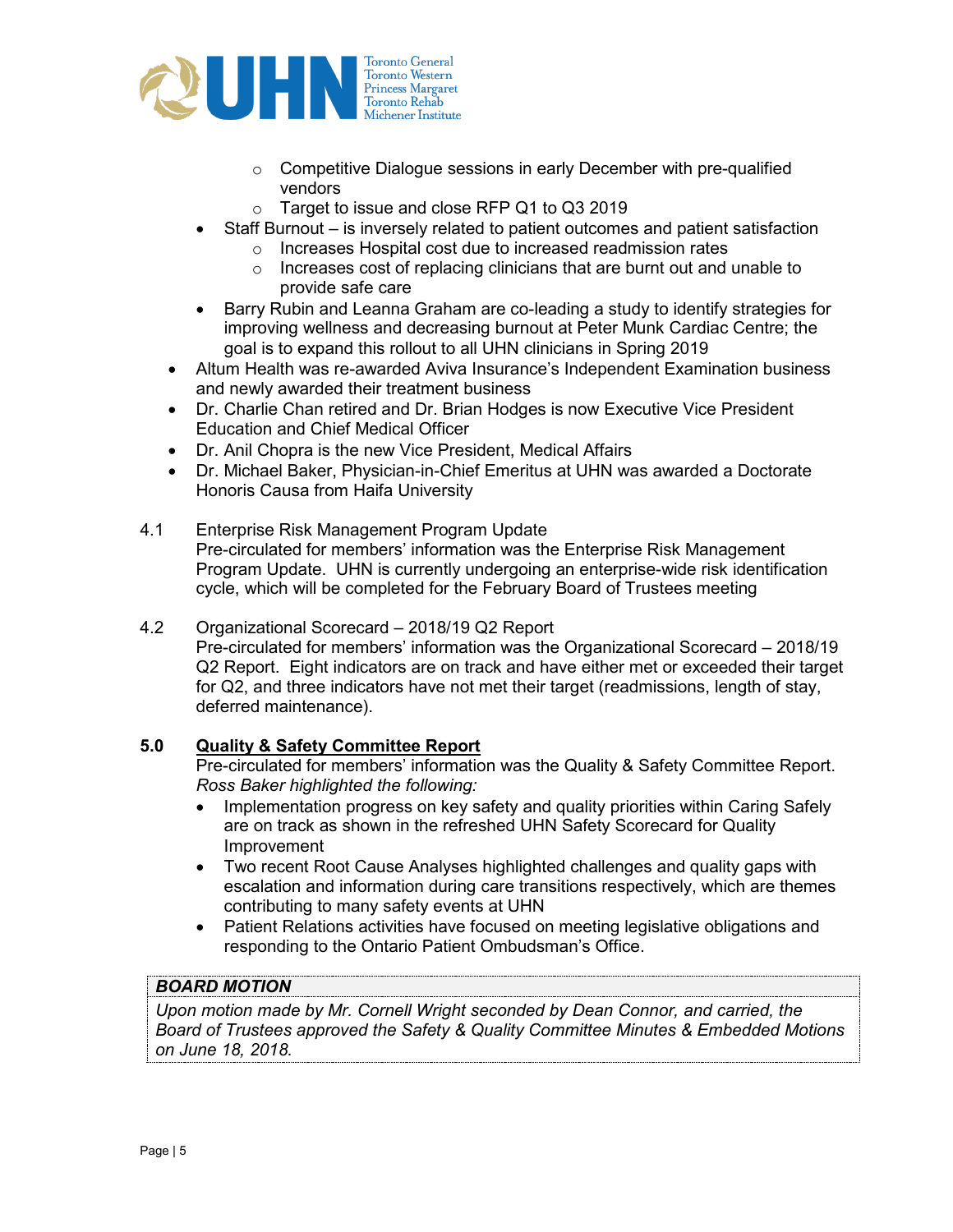

- o Competitive Dialogue sessions in early December with pre-qualified vendors
- o Target to issue and close RFP Q1 to Q3 2019
- Staff Burnout is inversely related to patient outcomes and patient satisfaction
	- o Increases Hospital cost due to increased readmission rates
	- o Increases cost of replacing clinicians that are burnt out and unable to provide safe care
- Barry Rubin and Leanna Graham are co-leading a study to identify strategies for improving wellness and decreasing burnout at Peter Munk Cardiac Centre; the goal is to expand this rollout to all UHN clinicians in Spring 2019
- Altum Health was re-awarded Aviva Insurance's Independent Examination business and newly awarded their treatment business
- Dr. Charlie Chan retired and Dr. Brian Hodges is now Executive Vice President Education and Chief Medical Officer
- Dr. Anil Chopra is the new Vice President, Medical Affairs
- Dr. Michael Baker, Physician-in-Chief Emeritus at UHN was awarded a Doctorate Honoris Causa from Haifa University
- 4.1 Enterprise Risk Management Program Update Pre-circulated for members' information was the Enterprise Risk Management Program Update. UHN is currently undergoing an enterprise-wide risk identification cycle, which will be completed for the February Board of Trustees meeting
- 4.2 Organizational Scorecard 2018/19 Q2 Report Pre-circulated for members' information was the Organizational Scorecard – 2018/19 Q2 Report. Eight indicators are on track and have either met or exceeded their target for Q2, and three indicators have not met their target (readmissions, length of stay, deferred maintenance).

# **5.0 Quality & Safety Committee Report**

Pre-circulated for members' information was the Quality & Safety Committee Report. *Ross Baker highlighted the following:* 

- Implementation progress on key safety and quality priorities within Caring Safely are on track as shown in the refreshed UHN Safety Scorecard for Quality Improvement
- Two recent Root Cause Analyses highlighted challenges and quality gaps with escalation and information during care transitions respectively, which are themes contributing to many safety events at UHN
- Patient Relations activities have focused on meeting legislative obligations and responding to the Ontario Patient Ombudsman's Office.

# *BOARD MOTION*

*Upon motion made by Mr. Cornell Wright seconded by Dean Connor, and carried, the Board of Trustees approved the Safety & Quality Committee Minutes & Embedded Motions on June 18, 2018.*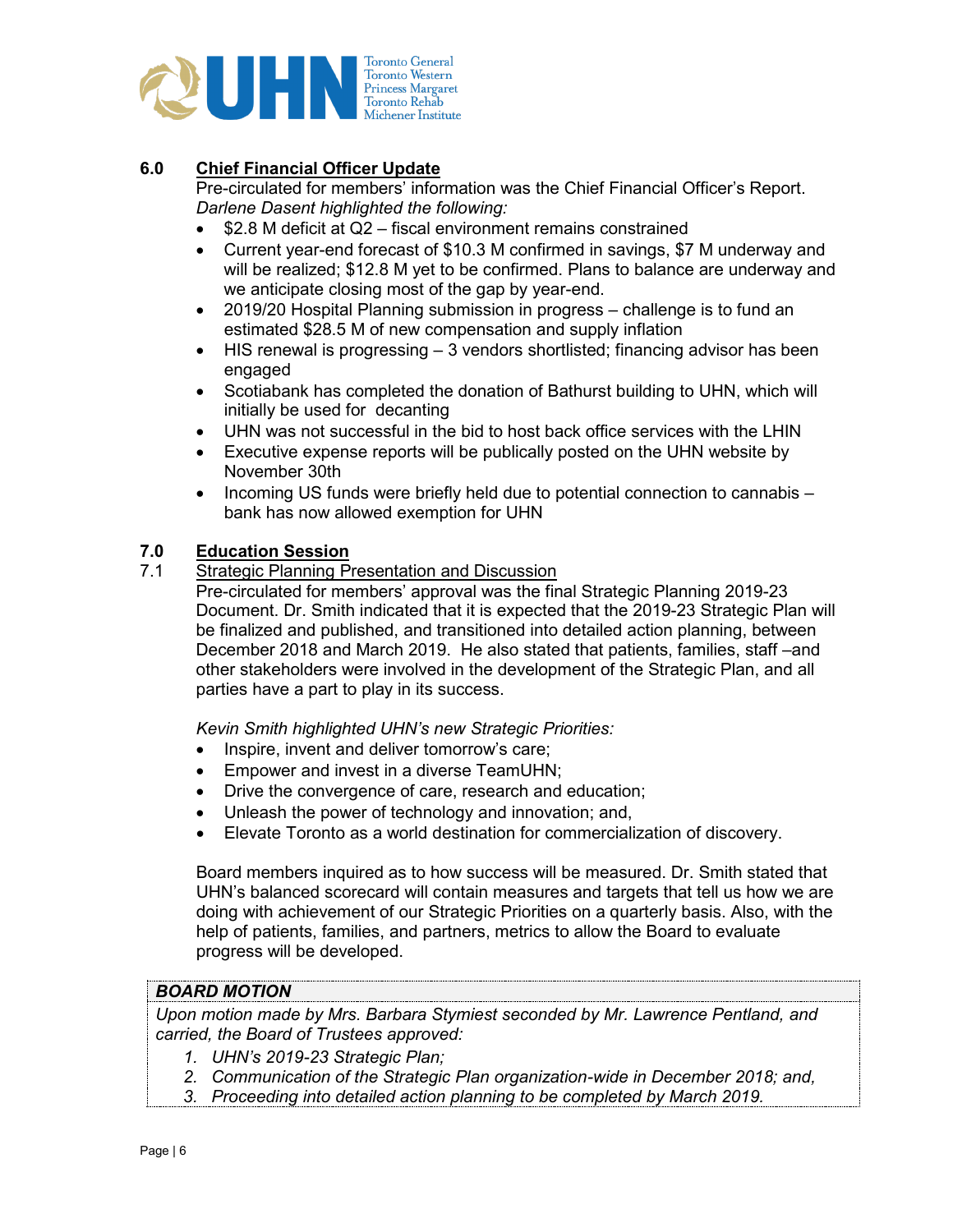

# **6.0 Chief Financial Officer Update**

Pre-circulated for members' information was the Chief Financial Officer's Report. *Darlene Dasent highlighted the following:* 

- \$2.8 M deficit at Q2 fiscal environment remains constrained
- Current year-end forecast of \$10.3 M confirmed in savings, \$7 M underway and will be realized; \$12.8 M yet to be confirmed. Plans to balance are underway and we anticipate closing most of the gap by year-end.
- 2019/20 Hospital Planning submission in progress challenge is to fund an estimated \$28.5 M of new compensation and supply inflation
- $\bullet$  HIS renewal is progressing  $-3$  vendors shortlisted; financing advisor has been engaged
- Scotiabank has completed the donation of Bathurst building to UHN, which will initially be used for decanting
- UHN was not successful in the bid to host back office services with the LHIN
- Executive expense reports will be publically posted on the UHN website by November 30th
- Incoming US funds were briefly held due to potential connection to cannabis bank has now allowed exemption for UHN

# **7.0 Education Session**

7.1 Strategic Planning Presentation and Discussion

Pre-circulated for members' approval was the final Strategic Planning 2019-23 Document. Dr. Smith indicated that it is expected that the 2019-23 Strategic Plan will be finalized and published, and transitioned into detailed action planning, between December 2018 and March 2019. He also stated that patients, families, staff –and other stakeholders were involved in the development of the Strategic Plan, and all parties have a part to play in its success.

*Kevin Smith highlighted UHN's new Strategic Priorities:*

- Inspire, invent and deliver tomorrow's care;
- Empower and invest in a diverse TeamUHN;
- Drive the convergence of care, research and education;
- Unleash the power of technology and innovation; and,
- Elevate Toronto as a world destination for commercialization of discovery.

Board members inquired as to how success will be measured. Dr. Smith stated that UHN's balanced scorecard will contain measures and targets that tell us how we are doing with achievement of our Strategic Priorities on a quarterly basis. Also, with the help of patients, families, and partners, metrics to allow the Board to evaluate progress will be developed.

# *BOARD MOTION*

*Upon motion made by Mrs. Barbara Stymiest seconded by Mr. Lawrence Pentland, and carried, the Board of Trustees approved:*

- *1. UHN's 2019-23 Strategic Plan;*
- *2. Communication of the Strategic Plan organization-wide in December 2018; and,*
- *3. Proceeding into detailed action planning to be completed by March 2019.*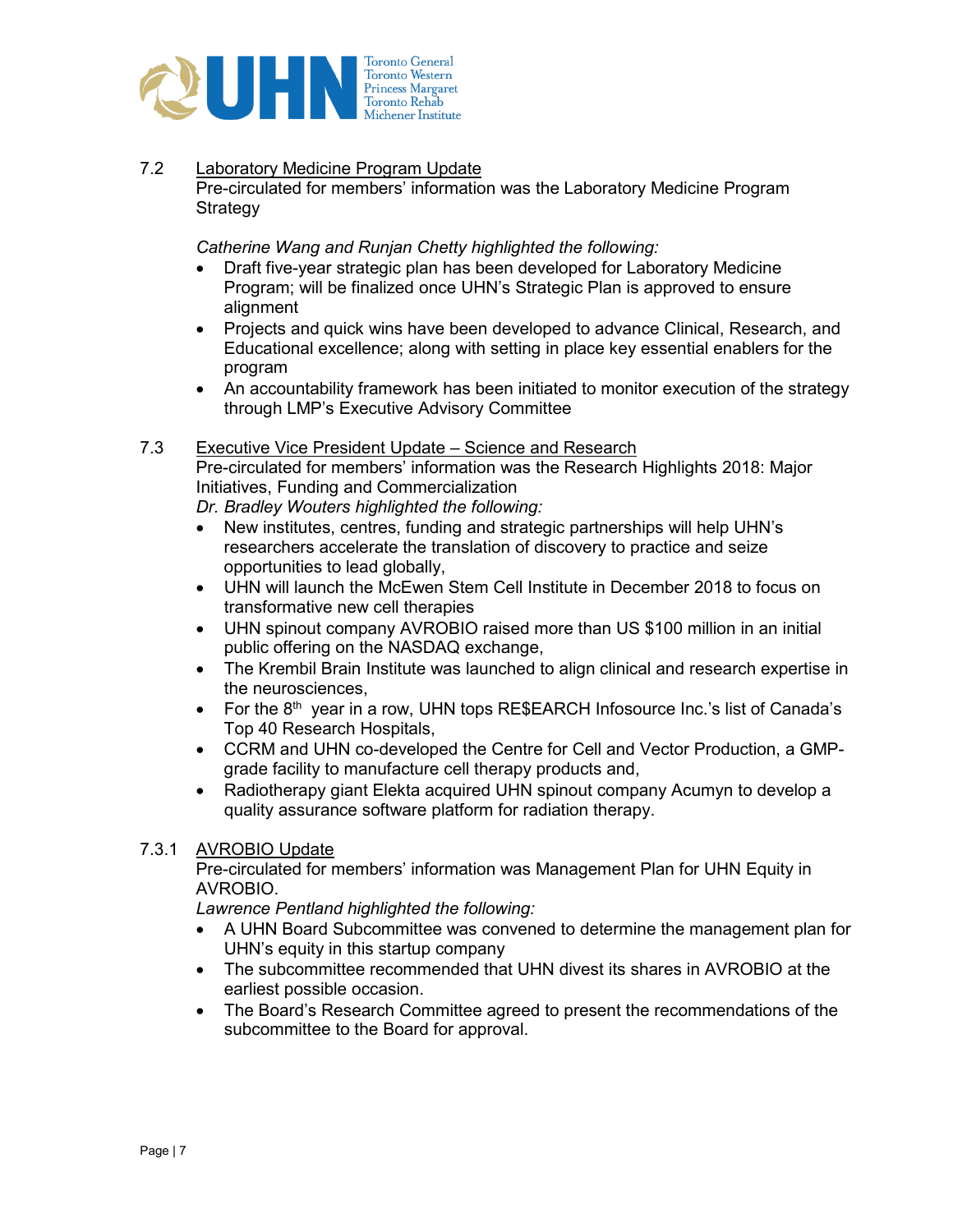

# 7.2 Laboratory Medicine Program Update

Pre-circulated for members' information was the Laboratory Medicine Program **Strategy** 

*Catherine Wang and Runjan Chetty highlighted the following:* 

- Draft five-year strategic plan has been developed for Laboratory Medicine Program; will be finalized once UHN's Strategic Plan is approved to ensure alignment
- Projects and quick wins have been developed to advance Clinical, Research, and Educational excellence; along with setting in place key essential enablers for the program
- An accountability framework has been initiated to monitor execution of the strategy through LMP's Executive Advisory Committee

### 7.3 Executive Vice President Update – Science and Research

Pre-circulated for members' information was the Research Highlights 2018: Major Initiatives, Funding and Commercialization

*Dr. Bradley Wouters highlighted the following:*

- New institutes, centres, funding and strategic partnerships will help UHN's researchers accelerate the translation of discovery to practice and seize opportunities to lead globally,
- UHN will launch the McEwen Stem Cell Institute in December 2018 to focus on transformative new cell therapies
- UHN spinout company AVROBIO raised more than US \$100 million in an initial public offering on the NASDAQ exchange,
- The Krembil Brain Institute was launched to align clinical and research expertise in the neurosciences,
- For the  $8<sup>th</sup>$  year in a row, UHN tops RE\$EARCH Infosource Inc.'s list of Canada's Top 40 Research Hospitals,
- CCRM and UHN co-developed the Centre for Cell and Vector Production, a GMPgrade facility to manufacture cell therapy products and,
- Radiotherapy giant Elekta acquired UHN spinout company Acumyn to develop a quality assurance software platform for radiation therapy.

#### 7.3.1 AVROBIO Update

Pre-circulated for members' information was Management Plan for UHN Equity in AVROBIO.

*Lawrence Pentland highlighted the following:*

- A UHN Board Subcommittee was convened to determine the management plan for UHN's equity in this startup company
- The subcommittee recommended that UHN divest its shares in AVROBIO at the earliest possible occasion.
- The Board's Research Committee agreed to present the recommendations of the subcommittee to the Board for approval.